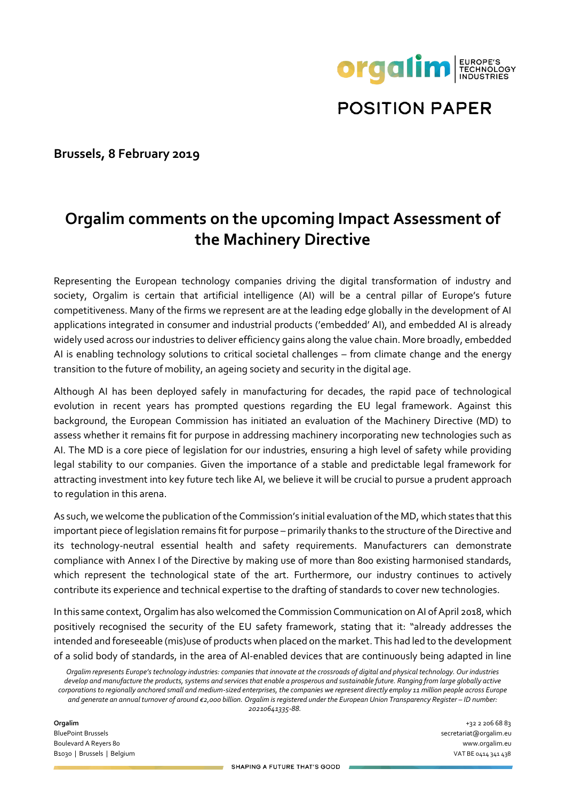

**POSITION PAPER** 

**Brussels, 8 February 2019**

# **Orgalim comments on the upcoming Impact Assessment of the Machinery Directive**

Representing the European technology companies driving the digital transformation of industry and society, Orgalim is certain that artificial intelligence (AI) will be a central pillar of Europe's future competitiveness. Many of the firms we represent are at the leading edge globally in the development of AI applications integrated in consumer and industrial products ('embedded' AI), and embedded AI is already widely used across our industries to deliver efficiency gains along the value chain. More broadly, embedded AI is enabling technology solutions to critical societal challenges – from climate change and the energy transition to the future of mobility, an ageing society and security in the digital age.

Although AI has been deployed safely in manufacturing for decades, the rapid pace of technological evolution in recent years has prompted questions regarding the EU legal framework. Against this background, the European Commission has initiated an evaluation of the Machinery Directive (MD) to assess whether it remains fit for purpose in addressing machinery incorporating new technologies such as AI. The MD is a core piece of legislation for our industries, ensuring a high level of safety while providing legal stability to our companies. Given the importance of a stable and predictable legal framework for attracting investment into key future tech like AI, we believe it will be crucial to pursue a prudent approach to regulation in this arena.

As such, we welcome the publication of the Commission's initial evaluation of the MD, which states that this important piece of legislation remains fit for purpose – primarily thanks to the structure of the Directive and its technology-neutral essential health and safety requirements. Manufacturers can demonstrate compliance with Annex I of the Directive by making use of more than 800 existing harmonised standards, which represent the technological state of the art. Furthermore, our industry continues to actively contribute its experience and technical expertise to the drafting of standards to cover new technologies.

In this same context, Orgalim has also welcomed the Commission Communication on AI of April 2018, which positively recognised the security of the EU safety framework, stating that it: "already addresses the intended and foreseeable (mis)use of products when placed on the market. This had led to the development of a solid body of standards, in the area of AI-enabled devices that are continuously being adapted in line

*Orgalim represents Europe's technology industries: companies that innovate at the crossroads of digital and physical technology. Our industries develop and manufacture the products, systems and services that enable a prosperous and sustainable future. Ranging from large globally active corporations to regionally anchored small and medium-sized enterprises, the companies we represent directly employ 11 million people across Europe and generate an annual turnover of around €2,000 billion. Orgalim is registered under the European Union Transparency Register – ID number: 20210641335-88.*

**Orgalim** +32 2 206 68 83 BluePoint Brussels secretariat@orgalim.eu Boulevard A Reyers 80 www.orgalim.eu B1030 | Brussels | Belgium VAT BE 0414 341 438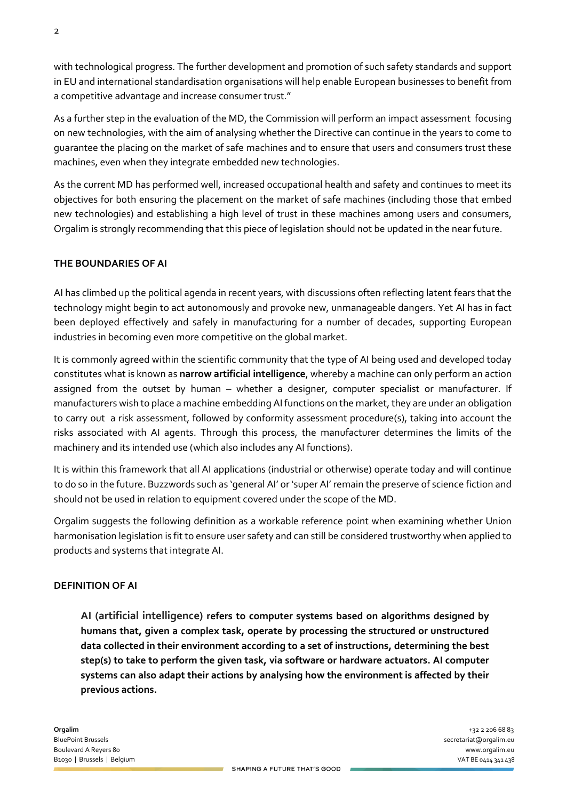with technological progress. The further development and promotion of such safety standards and support in EU and international standardisation organisations will help enable European businesses to benefit from a competitive advantage and increase consumer trust."

As a further step in the evaluation of the MD, the Commission will perform an impact assessment focusing on new technologies, with the aim of analysing whether the Directive can continue in the years to come to guarantee the placing on the market of safe machines and to ensure that users and consumers trust these machines, even when they integrate embedded new technologies.

As the current MD has performed well, increased occupational health and safety and continues to meet its objectives for both ensuring the placement on the market of safe machines (including those that embed new technologies) and establishing a high level of trust in these machines among users and consumers, Orgalim is strongly recommending that this piece of legislation should not be updated in the near future.

## **THE BOUNDARIES OF AI**

AI has climbed up the political agenda in recent years, with discussions often reflecting latent fears that the technology might begin to act autonomously and provoke new, unmanageable dangers. Yet AI has in fact been deployed effectively and safely in manufacturing for a number of decades, supporting European industries in becoming even more competitive on the global market.

It is commonly agreed within the scientific community that the type of AI being used and developed today constitutes what is known as **narrow artificial intelligence**, whereby a machine can only perform an action assigned from the outset by human – whether a designer, computer specialist or manufacturer. If manufacturers wish to place a machine embedding AI functions on the market, they are under an obligation to carry out a risk assessment, followed by conformity assessment procedure(s), taking into account the risks associated with AI agents. Through this process, the manufacturer determines the limits of the machinery and its intended use (which also includes any AI functions).

It is within this framework that all AI applications (industrial or otherwise) operate today and will continue to do so in the future. Buzzwords such as 'general AI' or 'super AI' remain the preserve of science fiction and should not be used in relation to equipment covered under the scope of the MD.

Orgalim suggests the following definition as a workable reference point when examining whether Union harmonisation legislation is fit to ensure user safety and can still be considered trustworthy when applied to products and systems that integrate AI.

## **DEFINITION OF AI**

**AI (artificial intelligence) refers to computer systems based on algorithms designed by humans that, given a complex task, operate by processing the structured or unstructured data collected in their environment according to a set of instructions, determining the best step(s) to take to perform the given task, via software or hardware actuators. AI computer systems can also adapt their actions by analysing how the environment is affected by their previous actions.**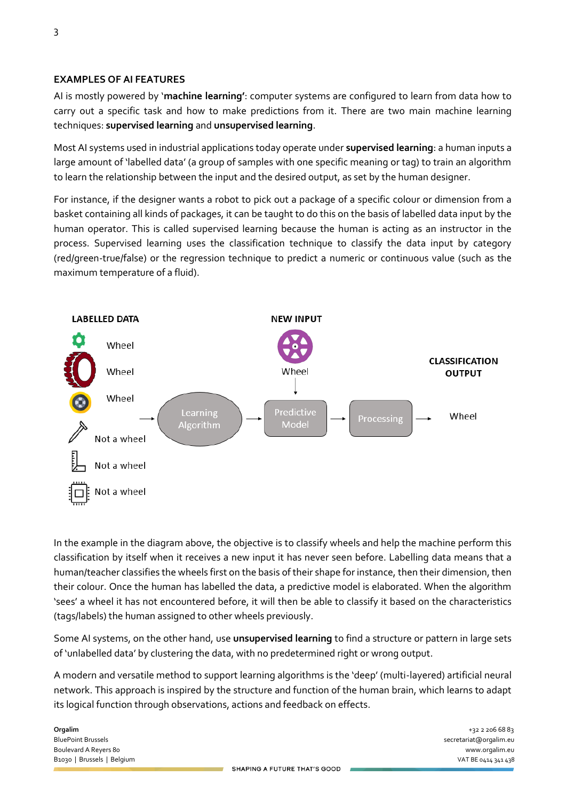#### **EXAMPLES OF AI FEATURES**

AI is mostly powered by '**machine learning'**: computer systems are configured to learn from data how to carry out a specific task and how to make predictions from it. There are two main machine learning techniques: **supervised learning** and **unsupervised learning**.

Most AI systems used in industrial applications today operate under **supervised learning**: a human inputs a large amount of 'labelled data' (a group of samples with one specific meaning or tag) to train an algorithm to learn the relationship between the input and the desired output, as set by the human designer.

For instance, if the designer wants a robot to pick out a package of a specific colour or dimension from a basket containing all kinds of packages, it can be taught to do this on the basis of labelled data input by the human operator. This is called supervised learning because the human is acting as an instructor in the process. Supervised learning uses the classification technique to classify the data input by category (red/green-true/false) or the regression technique to predict a numeric or continuous value (such as the maximum temperature of a fluid).



In the example in the diagram above, the objective is to classify wheels and help the machine perform this classification by itself when it receives a new input it has never seen before. Labelling data means that a human/teacher classifies the wheels first on the basis of their shape for instance, then their dimension, then their colour. Once the human has labelled the data, a predictive model is elaborated. When the algorithm 'sees' a wheel it has not encountered before, it will then be able to classify it based on the characteristics (tags/labels) the human assigned to other wheels previously.

Some AI systems, on the other hand, use **unsupervised learning** to find a structure or pattern in large sets of 'unlabelled data' by clustering the data, with no predetermined right or wrong output.

A modern and versatile method to support learning algorithms is the 'deep' (multi-layered) artificial neural network. This approach is inspired by the structure and function of the human brain, which learns to adapt its logical function through observations, actions and feedback on effects.

**Orgalim** +32 2 206 68 83 BluePoint Brussels secretariat@orgalim.eu Boulevard A Reyers 80 www.orgalim.eu B1030 | Brussels | Belgium VAT BE 0414 341 438<br>And December 2000 | And December 2000 | And December 2000 | And December 2000 | And December 2000 | And December 2000 | And December 2000 | And December 2000 | And December 20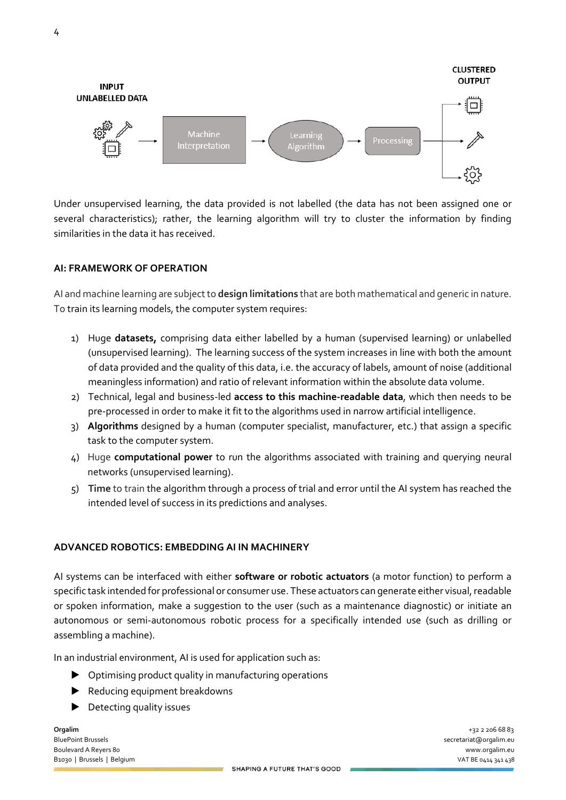

Under unsupervised learning, the data provided is not labelled (the data has not been assigned one or several characteristics); rather, the learning algorithm will try to cluster the information by finding similarities in the data it has received.

#### **AI: FRAMEWORK OF OPERATION**

AI and machine learning are subject to **design limitations** that are both mathematical and generic in nature. To train its learning models, the computer system requires:

- 1) Huge **datasets,** comprising data either labelled by a human (supervised learning) or unlabelled (unsupervised learning). The learning success of the system increases in line with both the amount of data provided and the quality of this data, i.e. the accuracy of labels, amount of noise (additional meaningless information) and ratio of relevant information within the absolute data volume.
- 2) Technical, legal and business-led **access to this machine-readable data**, which then needs to be pre-processed in order to make it fit to the algorithms used in narrow artificial intelligence.
- 3) **Algorithms** designed by a human (computer specialist, manufacturer, etc.) that assign a specific task to the computer system.
- 4) Huge **computational power** to run the algorithms associated with training and querying neural networks (unsupervised learning).
- 5) **Time** to train the algorithm through a process of trial and error until the AI system has reached the intended level of success in its predictions and analyses.

#### **ADVANCED ROBOTICS: EMBEDDING AI IN MACHINERY**

AI systems can be interfaced with either **software or robotic actuators** (a motor function) to perform a specific task intended for professional or consumer use. These actuators can generate either visual, readable or spoken information, make a suggestion to the user (such as a maintenance diagnostic) or initiate an autonomous or semi-autonomous robotic process for a specifically intended use (such as drilling or assembling a machine).

In an industrial environment, AI is used for application such as:

- ▶ Optimising product quality in manufacturing operations
- ▶ Reducing equipment breakdowns
- Detecting quality issues

**Orgalim** +32 2 206 68 83 BluePoint Brussels secretariat@orgalim.eu Boulevard A Reyers 80 www.orgalim.eu B1030 | Brussels | Belgium VAT BE 0414 341 438<br>And December 2000 | And December 2000 | And December 2000 | And December 2000 | And December 2000 | And December 2000 | And December 2000 | And December 2000 | And December 20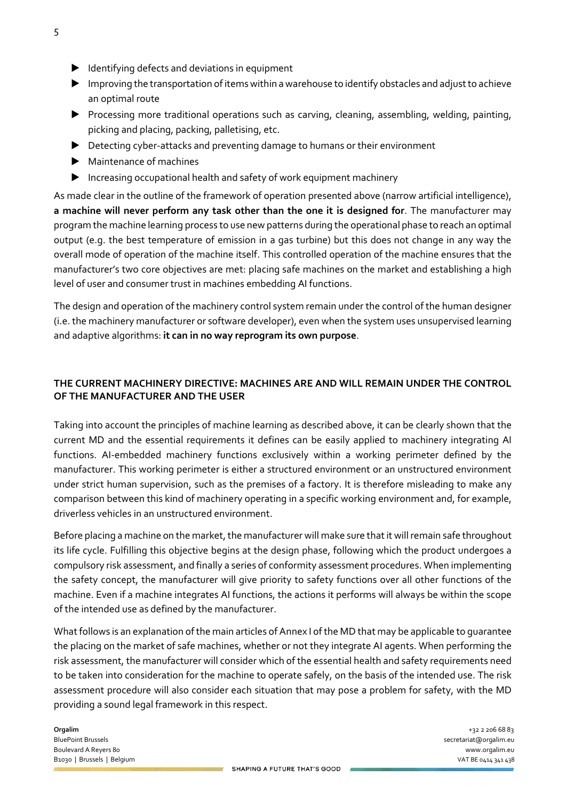- ▶ Identifying defects and deviations in equipment
- ▶ Improving the transportation of items within a warehouse to identify obstacles and adjust to achieve an optimal route
- ▶ Processing more traditional operations such as carving, cleaning, assembling, welding, painting, picking and placing, packing, palletising, etc.
- ▶ Detecting cyber-attacks and preventing damage to humans or their environment
- ▶ Maintenance of machines
- ▶ Increasing occupational health and safety of work equipment machinery

As made clear in the outline of the framework of operation presented above (narrow artificial intelligence), **a machine will never perform any task other than the one it is designed for**. The manufacturer may program the machine learning process to use new patterns during the operational phase to reach an optimal output (e.g. the best temperature of emission in a gas turbine) but this does not change in any way the overall mode of operation of the machine itself. This controlled operation of the machine ensures that the manufacturer's two core objectives are met: placing safe machines on the market and establishing a high level of user and consumer trust in machines embedding AI functions.

The design and operation of the machinery control system remain under the control of the human designer (i.e. the machinery manufacturer or software developer), even when the system uses unsupervised learning and adaptive algorithms: **it can in no way reprogram its own purpose**.

# **THE CURRENT MACHINERY DIRECTIVE: MACHINES ARE AND WILL REMAIN UNDER THE CONTROL OF THE MANUFACTURER AND THE USER**

Taking into account the principles of machine learning as described above, it can be clearly shown that the current MD and the essential requirements it defines can be easily applied to machinery integrating AI functions. AI-embedded machinery functions exclusively within a working perimeter defined by the manufacturer. This working perimeter is either a structured environment or an unstructured environment under strict human supervision, such as the premises of a factory. It is therefore misleading to make any comparison between this kind of machinery operating in a specific working environment and, for example, driverless vehicles in an unstructured environment.

Before placing a machine on the market, the manufacturer will make sure that it will remain safe throughout its life cycle. Fulfilling this objective begins at the design phase, following which the product undergoes a compulsory risk assessment, and finally a series of conformity assessment procedures. When implementing the safety concept, the manufacturer will give priority to safety functions over all other functions of the machine. Even if a machine integrates AI functions, the actions it performs will always be within the scope of the intended use as defined by the manufacturer.

What follows is an explanation of the main articles of Annex I of the MD that may be applicable to quarantee the placing on the market of safe machines, whether or not they integrate AI agents. When performing the risk assessment, the manufacturer will consider which of the essential health and safety requirements need to be taken into consideration for the machine to operate safely, on the basis of the intended use. The risk assessment procedure will also consider each situation that may pose a problem for safety, with the MD providing a sound legal framework in this respect.

**Orgalim** +32 2 206 68 83 BluePoint Brussels secretariat@orgalim.eu Boulevard A Reyers 80 www.orgalim.eu B1030 | Brussels | Belgium VAT BE 0414 341 438<br>And December 2000 | And December 2000 | And December 2000 | And December 2000 | And December 2000 | And December 2000 | And December 2000 | And December 2000 | And December 20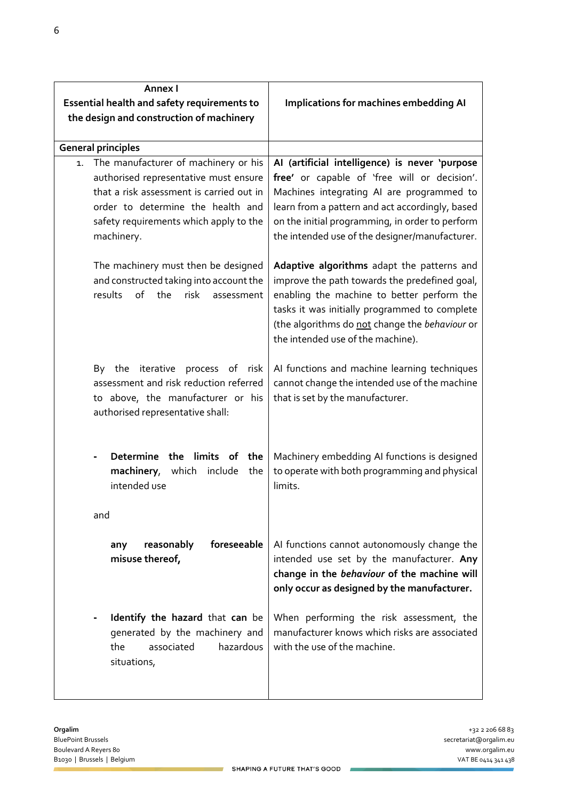| Annex I                                                               |                                                                                               |
|-----------------------------------------------------------------------|-----------------------------------------------------------------------------------------------|
| Essential health and safety requirements to                           | Implications for machines embedding AI                                                        |
| the design and construction of machinery                              |                                                                                               |
| <b>General principles</b>                                             |                                                                                               |
| The manufacturer of machinery or his<br>1.                            | Al (artificial intelligence) is never 'purpose                                                |
| authorised representative must ensure                                 | free' or capable of 'free will or decision'.                                                  |
| that a risk assessment is carried out in                              | Machines integrating AI are programmed to                                                     |
| order to determine the health and                                     | learn from a pattern and act accordingly, based                                               |
| safety requirements which apply to the                                | on the initial programming, in order to perform                                               |
| machinery.                                                            | the intended use of the designer/manufacturer.                                                |
| The machinery must then be designed                                   | Adaptive algorithms adapt the patterns and                                                    |
| and constructed taking into account the                               | improve the path towards the predefined goal,                                                 |
| of<br>results<br>the<br>risk<br>assessment                            | enabling the machine to better perform the                                                    |
|                                                                       | tasks it was initially programmed to complete                                                 |
|                                                                       | (the algorithms do not change the behaviour or<br>the intended use of the machine).           |
|                                                                       |                                                                                               |
| process of risk<br>By the<br>iterative                                | Al functions and machine learning techniques                                                  |
| assessment and risk reduction referred                                | cannot change the intended use of the machine                                                 |
| to above, the manufacturer or his<br>authorised representative shall: | that is set by the manufacturer.                                                              |
|                                                                       |                                                                                               |
|                                                                       |                                                                                               |
| Determine the limits of the<br>machinery,<br>which include<br>the     | Machinery embedding AI functions is designed<br>to operate with both programming and physical |
| intended use                                                          | limits.                                                                                       |
|                                                                       |                                                                                               |
| and                                                                   |                                                                                               |
| foreseeable<br>reasonably<br>any                                      | Al functions cannot autonomously change the                                                   |
| misuse thereof,                                                       | intended use set by the manufacturer. Any                                                     |
|                                                                       | change in the behaviour of the machine will                                                   |
|                                                                       | only occur as designed by the manufacturer.                                                   |
| Identify the hazard that can be                                       | When performing the risk assessment, the                                                      |
| generated by the machinery and                                        | manufacturer knows which risks are associated                                                 |
| hazardous<br>the<br>associated                                        | with the use of the machine.                                                                  |
| situations,                                                           |                                                                                               |
|                                                                       |                                                                                               |

 $\mathcal{L}$ 

۰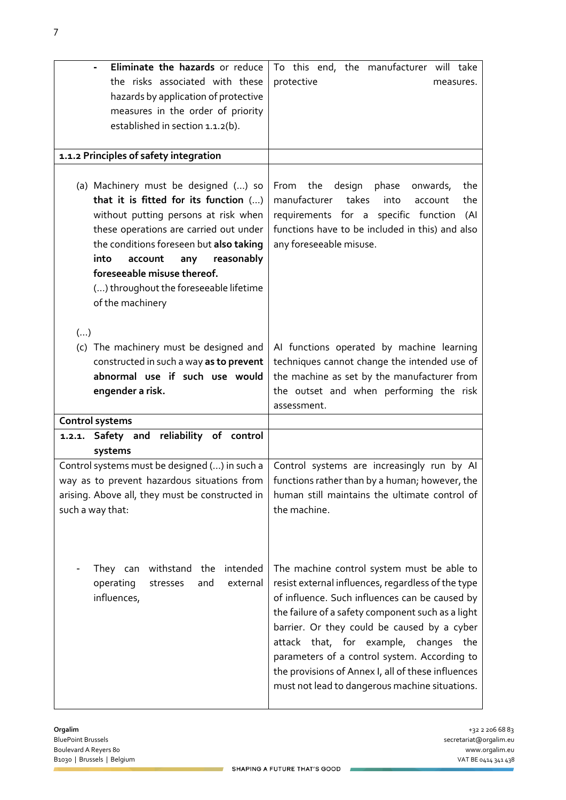| Eliminate the hazards or reduce<br>the risks associated with these<br>hazards by application of protective<br>measures in the order of priority<br>established in section 1.1.2(b).                                                                                                                                                             | To this end, the manufacturer will take<br>protective<br>measures.                                                                                                                                                                                                                                                                                                                                                                                         |
|-------------------------------------------------------------------------------------------------------------------------------------------------------------------------------------------------------------------------------------------------------------------------------------------------------------------------------------------------|------------------------------------------------------------------------------------------------------------------------------------------------------------------------------------------------------------------------------------------------------------------------------------------------------------------------------------------------------------------------------------------------------------------------------------------------------------|
| 1.1.2 Principles of safety integration                                                                                                                                                                                                                                                                                                          |                                                                                                                                                                                                                                                                                                                                                                                                                                                            |
| (a) Machinery must be designed () so<br>that it is fitted for its function ()<br>without putting persons at risk when<br>these operations are carried out under<br>the conditions foreseen but also taking<br>into<br>account<br>reasonably<br>any<br>foreseeable misuse thereof.<br>() throughout the foreseeable lifetime<br>of the machinery | From the<br>design<br>phase<br>the<br>onwards,<br>manufacturer takes<br>into<br>the<br>account<br>requirements for a specific function<br>(Al<br>functions have to be included in this) and also<br>any foreseeable misuse.                                                                                                                                                                                                                                |
| $(\ldots)$<br>(c) The machinery must be designed and<br>constructed in such a way as to prevent<br>abnormal use if such use would<br>engender a risk.                                                                                                                                                                                           | Al functions operated by machine learning<br>techniques cannot change the intended use of<br>the machine as set by the manufacturer from<br>the outset and when performing the risk<br>assessment.                                                                                                                                                                                                                                                         |
| Control systems                                                                                                                                                                                                                                                                                                                                 |                                                                                                                                                                                                                                                                                                                                                                                                                                                            |
| 1.2.1. Safety and reliability of control<br>systems                                                                                                                                                                                                                                                                                             |                                                                                                                                                                                                                                                                                                                                                                                                                                                            |
| Control systems must be designed () in such a<br>arising. Above all, they must be constructed in<br>such a way that:                                                                                                                                                                                                                            | Control systems are increasingly run by Al<br>way as to prevent hazardous situations from $\vert$ functions rather than by a human; however, the<br>human still maintains the ultimate control of<br>the machine.                                                                                                                                                                                                                                          |
| intended<br>withstand<br>the<br>They can<br>operating<br>stresses<br>and<br>external<br>influences,                                                                                                                                                                                                                                             | The machine control system must be able to<br>resist external influences, regardless of the type<br>of influence. Such influences can be caused by<br>the failure of a safety component such as a light<br>barrier. Or they could be caused by a cyber<br>attack that, for example, changes<br>the<br>parameters of a control system. According to<br>the provisions of Annex I, all of these influences<br>must not lead to dangerous machine situations. |

×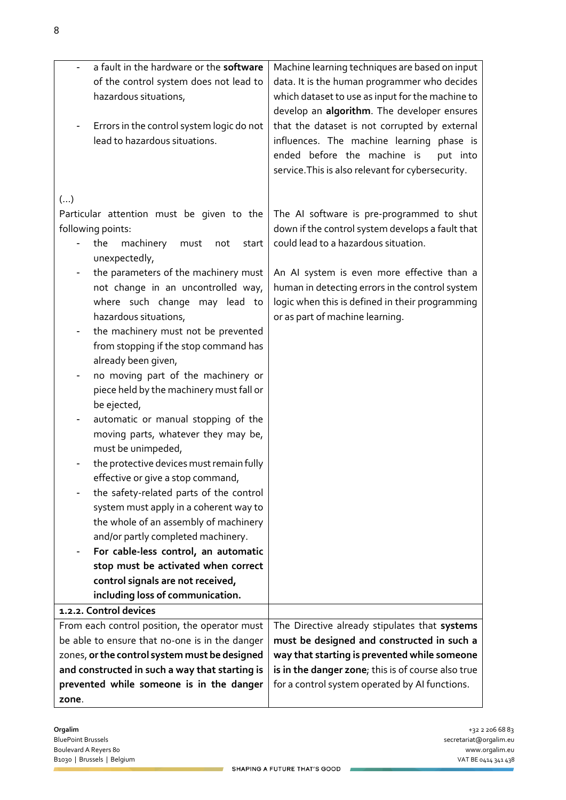| a fault in the hardware or the software                                     |                                                                                                |
|-----------------------------------------------------------------------------|------------------------------------------------------------------------------------------------|
| of the control system does not lead to                                      | Machine learning techniques are based on input<br>data. It is the human programmer who decides |
| hazardous situations,                                                       | which dataset to use as input for the machine to                                               |
|                                                                             | develop an algorithm. The developer ensures                                                    |
| Errors in the control system logic do not                                   | that the dataset is not corrupted by external                                                  |
| lead to hazardous situations.                                               | influences. The machine learning phase is                                                      |
|                                                                             | ended before the machine is<br>put into                                                        |
|                                                                             | service. This is also relevant for cybersecurity.                                              |
|                                                                             |                                                                                                |
| $(\ldots)$                                                                  |                                                                                                |
| Particular attention must be given to the                                   | The AI software is pre-programmed to shut                                                      |
| following points:                                                           | down if the control system develops a fault that                                               |
| the<br>machinery<br>must<br>start<br>not                                    | could lead to a hazardous situation.                                                           |
| unexpectedly,                                                               |                                                                                                |
| the parameters of the machinery must                                        | An AI system is even more effective than a                                                     |
| not change in an uncontrolled way,                                          | human in detecting errors in the control system                                                |
| where such change may lead to<br>hazardous situations,                      | logic when this is defined in their programming<br>or as part of machine learning.             |
| the machinery must not be prevented<br>-                                    |                                                                                                |
| from stopping if the stop command has                                       |                                                                                                |
| already been given,                                                         |                                                                                                |
| no moving part of the machinery or                                          |                                                                                                |
| piece held by the machinery must fall or                                    |                                                                                                |
| be ejected,                                                                 |                                                                                                |
| automatic or manual stopping of the                                         |                                                                                                |
| moving parts, whatever they may be,                                         |                                                                                                |
| must be unimpeded,                                                          |                                                                                                |
| the protective devices must remain fully                                    |                                                                                                |
| effective or give a stop command,                                           |                                                                                                |
| the safety-related parts of the control                                     |                                                                                                |
| system must apply in a coherent way to                                      |                                                                                                |
| the whole of an assembly of machinery<br>and/or partly completed machinery. |                                                                                                |
| For cable-less control, an automatic                                        |                                                                                                |
| stop must be activated when correct                                         |                                                                                                |
| control signals are not received,                                           |                                                                                                |
| including loss of communication.                                            |                                                                                                |
| 1.2.2. Control devices                                                      |                                                                                                |
| From each control position, the operator must                               | The Directive already stipulates that systems                                                  |
| be able to ensure that no-one is in the danger                              | must be designed and constructed in such a                                                     |
| zones, or the control system must be designed                               | way that starting is prevented while someone                                                   |
| and constructed in such a way that starting is                              | is in the danger zone; this is of course also true                                             |
| prevented while someone is in the danger                                    | for a control system operated by AI functions.                                                 |
| zone.                                                                       |                                                                                                |

F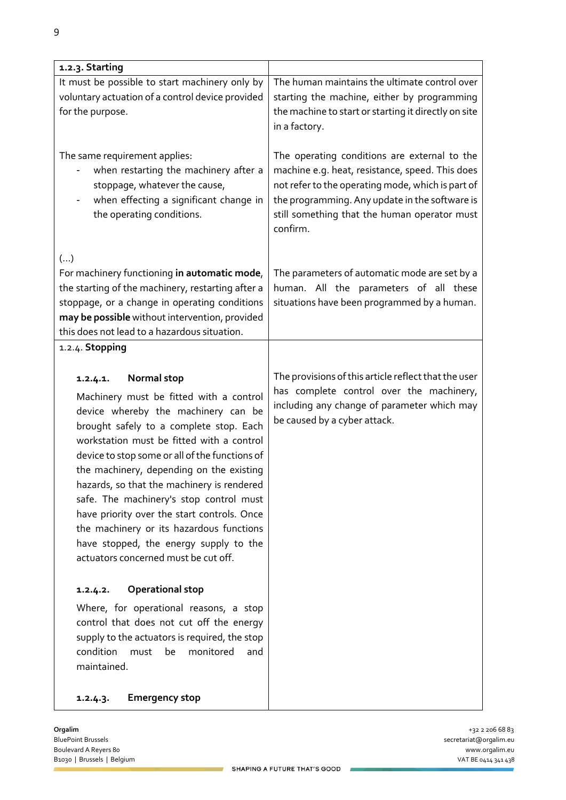| 1.2.3. Starting                                                                                                                                                                                                                                                                                                                                                                                                                                                                                                                                                       |                                                                                                                                                                                                                                                                    |
|-----------------------------------------------------------------------------------------------------------------------------------------------------------------------------------------------------------------------------------------------------------------------------------------------------------------------------------------------------------------------------------------------------------------------------------------------------------------------------------------------------------------------------------------------------------------------|--------------------------------------------------------------------------------------------------------------------------------------------------------------------------------------------------------------------------------------------------------------------|
| It must be possible to start machinery only by<br>voluntary actuation of a control device provided<br>for the purpose.                                                                                                                                                                                                                                                                                                                                                                                                                                                | The human maintains the ultimate control over<br>starting the machine, either by programming<br>the machine to start or starting it directly on site<br>in a factory.                                                                                              |
| The same requirement applies:<br>when restarting the machinery after a<br>stoppage, whatever the cause,<br>when effecting a significant change in<br>the operating conditions.                                                                                                                                                                                                                                                                                                                                                                                        | The operating conditions are external to the<br>machine e.g. heat, resistance, speed. This does<br>not refer to the operating mode, which is part of<br>the programming. Any update in the software is<br>still something that the human operator must<br>confirm. |
| ()<br>For machinery functioning in automatic mode,<br>the starting of the machinery, restarting after a<br>stoppage, or a change in operating conditions<br>may be possible without intervention, provided<br>this does not lead to a hazardous situation.                                                                                                                                                                                                                                                                                                            | The parameters of automatic mode are set by a<br>human. All the parameters of all these<br>situations have been programmed by a human.                                                                                                                             |
| 1.2.4. Stopping                                                                                                                                                                                                                                                                                                                                                                                                                                                                                                                                                       |                                                                                                                                                                                                                                                                    |
| Normal stop<br>1.2.4.1.<br>Machinery must be fitted with a control<br>device whereby the machinery can be<br>brought safely to a complete stop. Each<br>workstation must be fitted with a control<br>device to stop some or all of the functions of<br>the machinery, depending on the existing<br>hazards, so that the machinery is rendered<br>safe. The machinery's stop control must<br>have priority over the start controls. Once<br>the machinery or its hazardous functions<br>have stopped, the energy supply to the<br>actuators concerned must be cut off. | The provisions of this article reflect that the user<br>has complete control over the machinery,<br>including any change of parameter which may<br>be caused by a cyber attack.                                                                                    |
| <b>Operational stop</b><br>1.2.4.2.<br>Where, for operational reasons, a stop<br>control that does not cut off the energy<br>supply to the actuators is required, the stop<br>condition<br>monitored<br>must<br>be<br>and<br>maintained.                                                                                                                                                                                                                                                                                                                              |                                                                                                                                                                                                                                                                    |
| <b>Emergency stop</b><br>1.2.4.3.                                                                                                                                                                                                                                                                                                                                                                                                                                                                                                                                     |                                                                                                                                                                                                                                                                    |

BluePoint Brussels secretariat@orgalim.eu Boulevard A Reyers 80 www.orgalim.eu B1030 | Brussels | Belgium VAT BE 0414 341 438

**Orgalim** +32 2 206 68 83

 $\mathcal{L}$ 

۷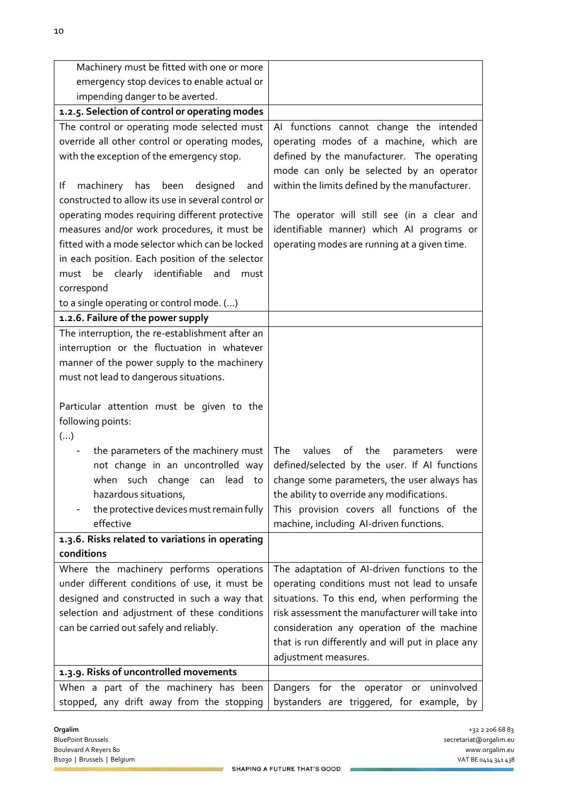| Machinery must be fitted with one or more          |                                                   |
|----------------------------------------------------|---------------------------------------------------|
| emergency stop devices to enable actual or         |                                                   |
| impending danger to be averted.                    |                                                   |
| 1.2.5. Selection of control or operating modes     |                                                   |
| The control or operating mode selected must        | Al functions cannot change the intended           |
| override all other control or operating modes,     | operating modes of a machine, which are           |
| with the exception of the emergency stop.          | defined by the manufacturer. The operating        |
|                                                    | mode can only be selected by an operator          |
| lf<br>machinery<br>has<br>been<br>designed<br>and  | within the limits defined by the manufacturer.    |
| constructed to allow its use in several control or |                                                   |
| operating modes requiring different protective     | The operator will still see (in a clear and       |
| measures and/or work procedures, it must be        | identifiable manner) which AI programs or         |
| fitted with a mode selector which can be locked    | operating modes are running at a given time.      |
| in each position. Each position of the selector    |                                                   |
| clearly identifiable<br>must be<br>and<br>must     |                                                   |
| correspond                                         |                                                   |
| to a single operating or control mode. ()          |                                                   |
| 1.2.6. Failure of the power supply                 |                                                   |
| The interruption, the re-establishment after an    |                                                   |
| interruption or the fluctuation in whatever        |                                                   |
| manner of the power supply to the machinery        |                                                   |
| must not lead to dangerous situations.             |                                                   |
|                                                    |                                                   |
| Particular attention must be given to the          |                                                   |
| following points:                                  |                                                   |
| ()                                                 |                                                   |
| the parameters of the machinery must               | values<br>The<br>of<br>the<br>parameters<br>were  |
| not change in an uncontrolled way                  | defined/selected by the user. If AI functions     |
| when such change can lead<br>to                    | change some parameters, the user always has       |
| hazardous situations,                              | the ability to override any modifications.        |
| the protective devices must remain fully           | This provision covers all functions of the        |
| effective                                          | machine, including Al-driven functions.           |
| 1.3.6. Risks related to variations in operating    |                                                   |
| conditions                                         |                                                   |
| Where the machinery performs operations            | The adaptation of AI-driven functions to the      |
| under different conditions of use, it must be      | operating conditions must not lead to unsafe      |
| designed and constructed in such a way that        | situations. To this end, when performing the      |
| selection and adjustment of these conditions       | risk assessment the manufacturer will take into   |
| can be carried out safely and reliably.            | consideration any operation of the machine        |
|                                                    | that is run differently and will put in place any |
|                                                    | adjustment measures.                              |
| 1.3.9. Risks of uncontrolled movements             |                                                   |
| When a part of the machinery has been              | Dangers for the operator or uninvolved            |
| stopped, any drift away from the stopping          | bystanders are triggered, for example, by         |

 $\mathcal{L}$ 

u,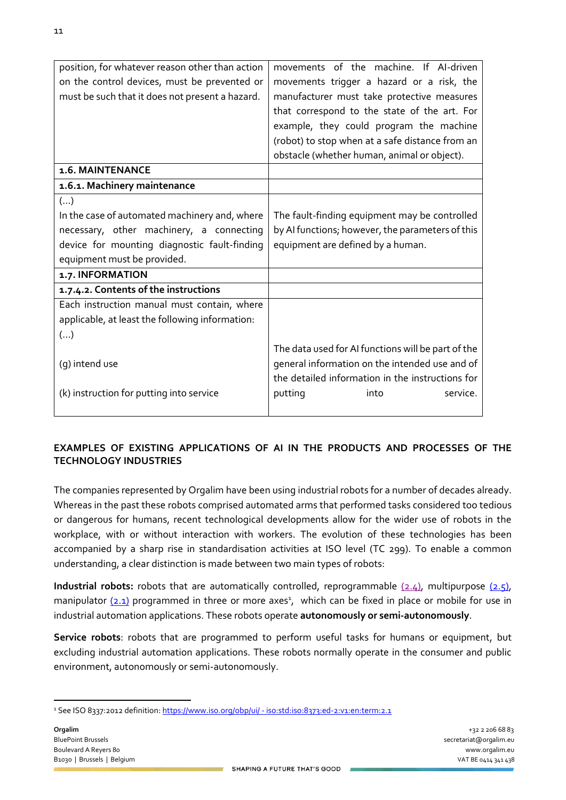| position, for whatever reason other than action | movements of the machine. If AI-driven             |
|-------------------------------------------------|----------------------------------------------------|
| on the control devices, must be prevented or    | movements trigger a hazard or a risk, the          |
| must be such that it does not present a hazard. | manufacturer must take protective measures         |
|                                                 | that correspond to the state of the art. For       |
|                                                 | example, they could program the machine            |
|                                                 | (robot) to stop when at a safe distance from an    |
|                                                 | obstacle (whether human, animal or object).        |
| 1.6. MAINTENANCE                                |                                                    |
| 1.6.1. Machinery maintenance                    |                                                    |
| $(\ldots)$                                      |                                                    |
| In the case of automated machinery and, where   | The fault-finding equipment may be controlled      |
| necessary, other machinery, a connecting        | by AI functions; however, the parameters of this   |
| device for mounting diagnostic fault-finding    | equipment are defined by a human.                  |
| equipment must be provided.                     |                                                    |
| 1.7. INFORMATION                                |                                                    |
| 1.7.4.2. Contents of the instructions           |                                                    |
| Each instruction manual must contain, where     |                                                    |
| applicable, at least the following information: |                                                    |
| ()                                              |                                                    |
|                                                 | The data used for AI functions will be part of the |
| (g) intend use                                  | general information on the intended use and of     |
|                                                 | the detailed information in the instructions for   |
| (k) instruction for putting into service        | putting<br>into<br>service.                        |
|                                                 |                                                    |

# **EXAMPLES OF EXISTING APPLICATIONS OF AI IN THE PRODUCTS AND PROCESSES OF THE TECHNOLOGY INDUSTRIES**

The companies represented by Orgalim have been using industrial robots for a number of decades already. Whereas in the past these robots comprised automated arms that performed tasks considered too tedious or dangerous for humans, recent technological developments allow for the wider use of robots in the workplace, with or without interaction with workers. The evolution of these technologies has been accompanied by a sharp rise in standardisation activities at ISO level (TC 299). To enable a common understanding, a clear distinction is made between two main types of robots:

**Industrial robots:** robots that are automatically controlled, [reprogrammable](https://www.iso.org/obp/ui/#iso:std:iso:8373:ed-2:v1:en:term:2.4) (2.4), [multipurpose \(2.5\),](https://www.iso.org/obp/ui/#iso:std:iso:8373:ed-2:v1:en:term:2.5) manipulator (2.1) programmed in three or more axes<sup>1</sup>, which can be fixed in place or mobile for use in industrial automation applications. These robots operate **autonomously or semi-autonomously**.

**Service robots**: robots that are programmed to perform useful tasks for humans or equipment, but excluding industrial automation applications. These robots normally operate in the consumer and public environment, autonomously or semi-autonomously.

 <sup>1</sup> See ISO 8337:2012 definition: https://www.iso.org/obp/ui/ - [iso:std:iso:8373:ed-2:v1:en:term:2.1](https://www.iso.org/obp/ui/#iso:std:iso:8373:ed-2:v1:en:term:2.1)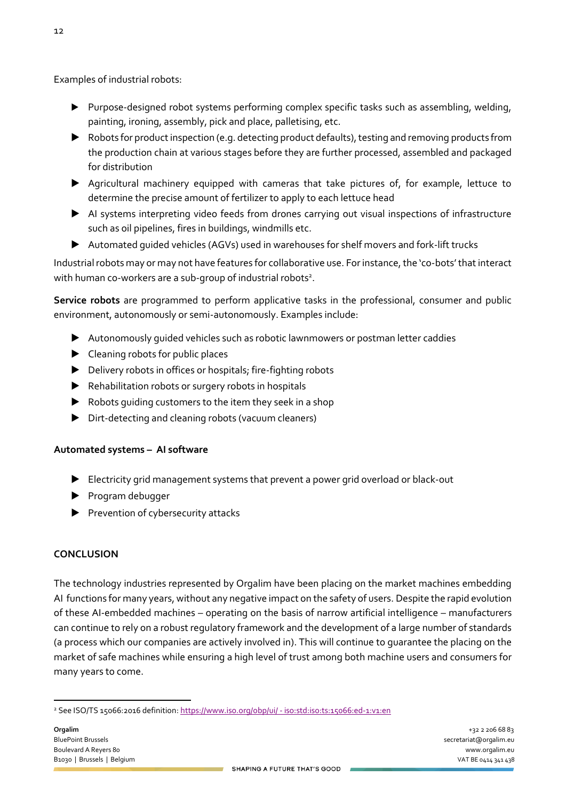Examples of industrial robots:

- ▶ Purpose-designed robot systems performing complex specific tasks such as assembling, welding, painting, ironing, assembly, pick and place, palletising, etc.
- ▶ Robots for product inspection (e.g. detecting product defaults), testing and removing products from the production chain at various stages before they are further processed, assembled and packaged for distribution
- ▶ Agricultural machinery equipped with cameras that take pictures of, for example, lettuce to determine the precise amount of fertilizer to apply to each lettuce head
- ▶ AI systems interpreting video feeds from drones carrying out visual inspections of infrastructure such as oil pipelines, fires in buildings, windmills etc.
- ▶ Automated guided vehicles (AGVs) used in warehouses for shelf movers and fork-lift trucks

Industrial robots may or may not have features for collaborative use. For instance, the 'co-bots'that interact with human co-workers are a sub-group of industrial robots<sup>2</sup>.

**Service robots** are programmed to perform applicative tasks in the professional, consumer and public environment, autonomously or semi-autonomously. Examples include:

- ▶ Autonomously guided vehicles such as robotic lawnmowers or postman letter caddies
- ▶ Cleaning robots for public places
- ▶ Delivery robots in offices or hospitals; fire-fighting robots
- ▶ Rehabilitation robots or surgery robots in hospitals
- $\blacktriangleright$  Robots quiding customers to the item they seek in a shop
- ▶ Dirt-detecting and cleaning robots (vacuum cleaners)

# **Automated systems – AI software**

- ▶ Electricity grid management systems that prevent a power grid overload or black-out
- ▶ Program debugger
- ▶ Prevention of cybersecurity attacks

## **CONCLUSION**

The technology industries represented by Orgalim have been placing on the market machines embedding AI functions for many years, without any negative impact on the safety of users. Despite the rapid evolution of these AI-embedded machines – operating on the basis of narrow artificial intelligence – manufacturers can continue to rely on a robust regulatory framework and the development of a large number of standards (a process which our companies are actively involved in). This will continue to guarantee the placing on the market of safe machines while ensuring a high level of trust among both machine users and consumers for many years to come.

 <sup>2</sup> See ISO/TS 15066:2016 definition: https://www.iso.org/obp/ui/ - [iso:std:iso:ts:15066:ed-1:v1:en](https://www.iso.org/obp/ui/#iso:std:iso:ts:15066:ed-1:v1:en)